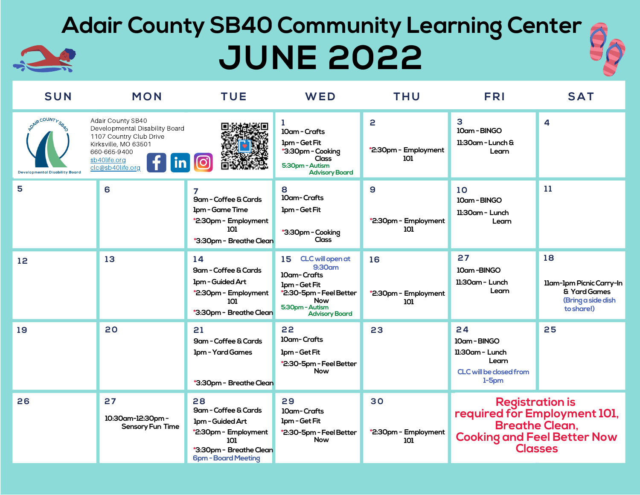# **JUNE 2022 Adair County SB40 Community Learning Center**

| SUN                                                    | <b>MON</b>                                                                                                                                                              | <b>TUE</b>                                                                                                                                    | WED                                                                                                                                                   | <b>THU</b>                        | <b>FRI</b>                                                                                                                       | <b>SAT</b>                                                                         |
|--------------------------------------------------------|-------------------------------------------------------------------------------------------------------------------------------------------------------------------------|-----------------------------------------------------------------------------------------------------------------------------------------------|-------------------------------------------------------------------------------------------------------------------------------------------------------|-----------------------------------|----------------------------------------------------------------------------------------------------------------------------------|------------------------------------------------------------------------------------|
| AIR COUNTY SA<br><b>Developmental Disability Board</b> | Adair County SB40<br>Developmental Disability Board<br>1107 Country Club Drive<br>Kirksville, MO 63501<br>660-665-9400<br>sb40life.org<br><u>in</u><br>clc@sb40life.org |                                                                                                                                               | 1.<br>10am - Crafts<br>1pm - Get Fit<br>*3:30pm - Cooking<br><b>Class</b><br>5:30pm - Autism<br><b>Advisory Board</b>                                 | 2<br>*2:30pm - Employment<br>101  | 3<br>10am - BINGO<br>11:30am - Lunch &<br>Learn                                                                                  | 4                                                                                  |
| 5                                                      | 6                                                                                                                                                                       | 7<br>9am - Coffee & Cards<br><b>1pm - Game Time</b><br>*2:30pm - Employment<br>101<br>*3:30pm - Breathe Clean                                 | 8<br>10am-Crafts<br>1pm - Get Fit<br>*3:30pm - Cooking<br>Class                                                                                       | 9<br>*2:30pm - Employment<br>101  | 10<br>10am - BINGO<br>11:30am - Lunch<br>Learn                                                                                   | 11                                                                                 |
| 12                                                     | 13                                                                                                                                                                      | 14<br>9am - Coffee & Cards<br><b>1pm - Guided Art</b><br>*2:30pm - Employment<br>101<br>*3:30pm - Breathe Clean                               | CLC will open at<br>15<br>9:30am<br>10am-Crafts<br>1pm - Get Fit<br>*2:30-5pm - Feel Better<br><b>Now</b><br>5:30pm - Autism<br><b>Advisory Board</b> | 16<br>*2:30pm - Employment<br>101 | 27<br>10am-BINGO<br>11:30am - Lunch<br>Learn                                                                                     | 18<br>11am-1pm Picnic Carry-In<br>& Yard Games<br>(Bring a side dish<br>to share!) |
| 19                                                     | 20                                                                                                                                                                      | 21<br>9am - Coffee & Cards<br><b>1pm - Yard Games</b><br>*3:30pm - Breathe Clean                                                              | 22<br>10am-Crafts<br>1pm - Get Fit<br>*2:30-5pm - Feel Better<br><b>Now</b>                                                                           | 23                                | 24<br>10am - BINGO<br>11:30am - Lunch<br>Learn<br>CLC will be closed from<br>$1 - 5pm$                                           | 25                                                                                 |
| 26                                                     | 27<br>10:30am-12:30pm-<br>Sensory Fun Time                                                                                                                              | 28<br>9am - Coffee & Cards<br><b>1pm - Guided Art</b><br>*2:30pm - Employment<br>101<br>*3:30pm - Breathe Clean<br><b>6pm - Board Meeting</b> | 29<br>10am-Crafts<br><b>1pm - Get Fit</b><br>*2:30-5pm - Feel Better<br><b>Now</b>                                                                    | 30<br>*2:30pm - Employment<br>101 | Registration is<br>required for Employment 101,<br><b>Breathe Clean,</b><br><b>Cooking and Feel Better Now</b><br><b>Classes</b> |                                                                                    |